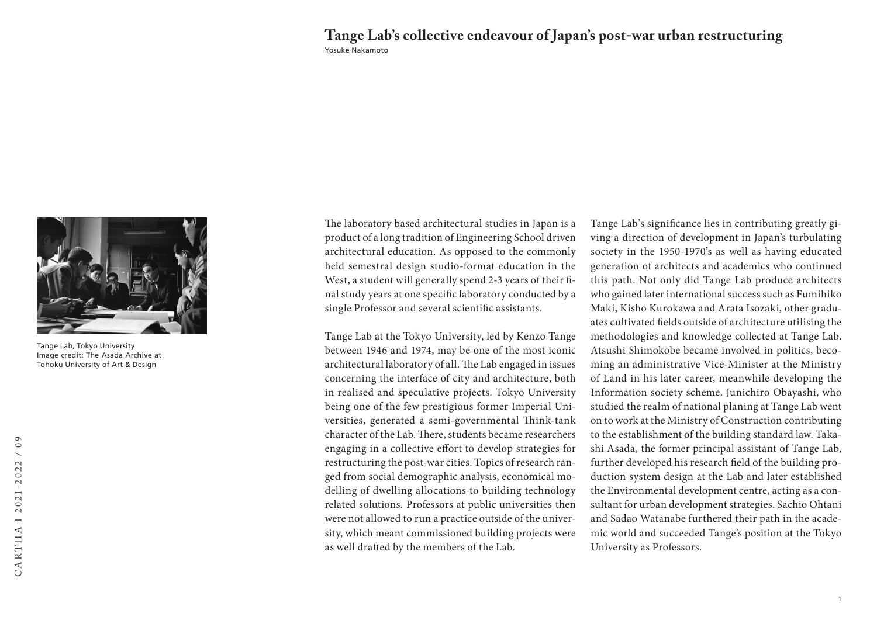## Yosuke Nakamoto **Tange Lab's collective endeavour of Japan's post-war urban restructuring**



Tange Lab, Tokyo University Image credit: The Asada Archive at Tohoku University of Art & Design

The laboratory based architectural studies in Japan is a product of a long tradition of Engineering School driven architectural education. As opposed to the commonly held semestral design studio-format education in the West, a student will generally spend 2-3 years of their final study years at one specific laboratory conducted by a single Professor and several scientific assistants.

Tange Lab at the Tokyo University, led by Kenzo Tange between 1946 and 1974, may be one of the most iconic architectural laboratory of all. The Lab engaged in issues concerning the interface of city and architecture, both in realised and speculative projects. Tokyo University being one of the few prestigious former Imperial Universities, generated a semi-governmental Think-tank character of the Lab. There, students became researchers engaging in a collective effort to develop strategies for restructuring the post-war cities. Topics of research ranged from social demographic analysis, economical modelling of dwelling allocations to building technology related solutions. Professors at public universities then were not allowed to run a practice outside of the university, which meant commissioned building projects were as well drafted by the members of the Lab.

Tange Lab's significance lies in contributing greatly giving a direction of development in Japan's turbulating society in the 1950-1970's as well as having educated generation of architects and academics who continued this path. Not only did Tange Lab produce architects who gained later international success such as Fumihiko Maki, Kisho Kurokawa and Arata Isozaki, other graduates cultivated fields outside of architecture utilising the methodologies and knowledge collected at Tange Lab. Atsushi Shimokobe became involved in politics, becoming an administrative Vice-Minister at the Ministry of Land in his later career, meanwhile developing the Information society scheme. Junichiro Obayashi, who studied the realm of national planing at Tange Lab went on to work at the Ministry of Construction contributing to the establishment of the building standard law. Takashi Asada, the former principal assistant of Tange Lab, further developed his research field of the building production system design at the Lab and later established the Environmental development centre, acting as a consultant for urban development strategies. Sachio Ohtani and Sadao Watanabe furthered their path in the academic world and succeeded Tange's position at the Tokyo University as Professors.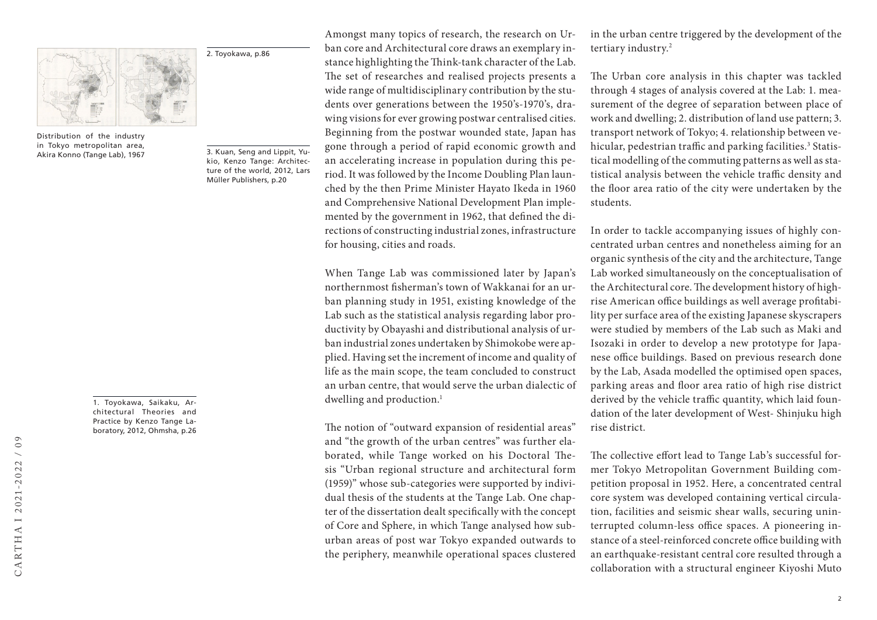

Distribution of the industry in Tokyo metropolitan area, Akira Konno (Tange Lab), 1967

3. Kuan, Seng and Lippit, Yukio, Kenzo Tange: Architecture of the world, 2012, Lars Müller Publishers, p.20

2. Toyokawa, p.86

1. Toyokawa, Saikaku, Architectural Theories and Practice by Kenzo Tange Laboratory, 2012, Ohmsha, p.26 Amongst many topics of research, the research on Urban core and Architectural core draws an exemplary instance highlighting the Think-tank character of the Lab. The set of researches and realised projects presents a wide range of multidisciplinary contribution by the students over generations between the 1950's-1970's, drawing visions for ever growing postwar centralised cities. Beginning from the postwar wounded state, Japan has gone through a period of rapid economic growth and an accelerating increase in population during this period. It was followed by the Income Doubling Plan launched by the then Prime Minister Hayato Ikeda in 1960 and Comprehensive National Development Plan implemented by the government in 1962, that defined the directions of constructing industrial zones, infrastructure for housing, cities and roads.

When Tange Lab was commissioned later by Japan's northernmost fisherman's town of Wakkanai for an urban planning study in 1951, existing knowledge of the Lab such as the statistical analysis regarding labor productivity by Obayashi and distributional analysis of urban industrial zones undertaken by Shimokobe were applied. Having set the increment of income and quality of life as the main scope, the team concluded to construct an urban centre, that would serve the urban dialectic of dwelling and production.<sup>1</sup>

The notion of "outward expansion of residential areas" and "the growth of the urban centres" was further elaborated, while Tange worked on his Doctoral Thesis "Urban regional structure and architectural form (1959)" whose sub-categories were supported by individual thesis of the students at the Tange Lab. One chapter of the dissertation dealt specifically with the concept of Core and Sphere, in which Tange analysed how suburban areas of post war Tokyo expanded outwards to the periphery, meanwhile operational spaces clustered in the urban centre triggered by the development of the tertiary industry.2

The Urban core analysis in this chapter was tackled through 4 stages of analysis covered at the Lab: 1. measurement of the degree of separation between place of work and dwelling; 2. distribution of land use pattern; 3. transport network of Tokyo; 4. relationship between vehicular, pedestrian traffic and parking facilities.<sup>3</sup> Statistical modelling of the commuting patterns as well as statistical analysis between the vehicle traffic density and the floor area ratio of the city were undertaken by the students.

In order to tackle accompanying issues of highly concentrated urban centres and nonetheless aiming for an organic synthesis of the city and the architecture, Tange Lab worked simultaneously on the conceptualisation of the Architectural core. The development history of highrise American office buildings as well average profitability per surface area of the existing Japanese skyscrapers were studied by members of the Lab such as Maki and Isozaki in order to develop a new prototype for Japanese office buildings. Based on previous research done by the Lab, Asada modelled the optimised open spaces, parking areas and floor area ratio of high rise district derived by the vehicle traffic quantity, which laid foundation of the later development of West- Shinjuku high rise district.

The collective effort lead to Tange Lab's successful former Tokyo Metropolitan Government Building competition proposal in 1952. Here, a concentrated central core system was developed containing vertical circulation, facilities and seismic shear walls, securing uninterrupted column-less office spaces. A pioneering instance of a steel-reinforced concrete office building with an earthquake-resistant central core resulted through a collaboration with a structural engineer Kiyoshi Muto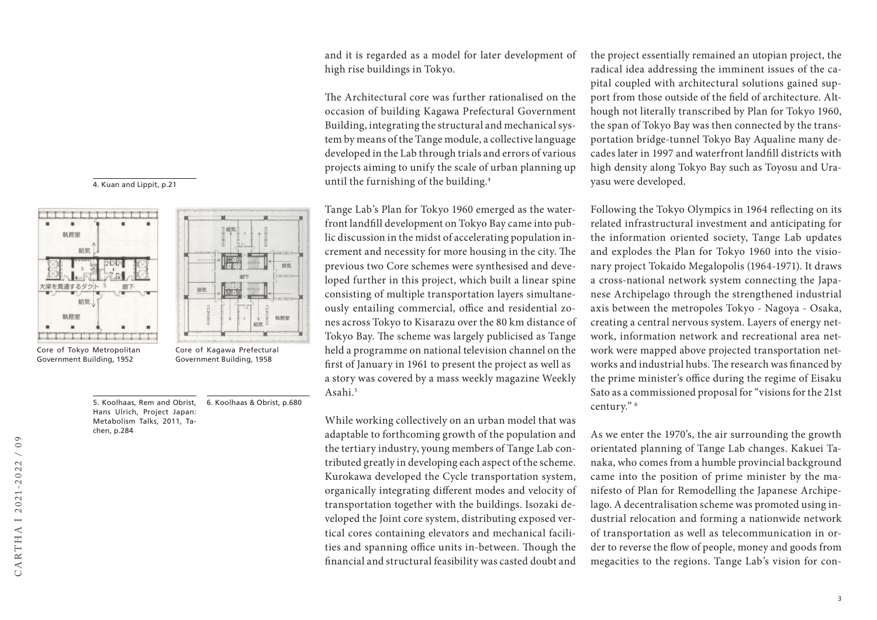





Core of Tokyo Metropolitan Government Building, 1952

5. Koolhaas, Rem and Obrist, Hans Ulrich, Project Japan: Metabolism Talks, 2011, Tachen, p.284 6. Koolhaas & Obrist, p.680 and it is regarded as a model for later development of high rise buildings in Tokyo.

The Architectural core was further rationalised on the occasion of building Kagawa Prefectural Government Building, integrating the structural and mechanical system by means of the Tange module, a collective language developed in the Lab through trials and errors of various projects aiming to unify the scale of urban planning up until the furnishing of the building.4

Tange Lab's Plan for Tokyo 1960 emerged as the waterfront landfill development on Tokyo Bay came into public discussion in the midst of accelerating population increment and necessity for more housing in the city. The previous two Core schemes were synthesised and developed further in this project, which built a linear spine consisting of multiple transportation layers simultaneously entailing commercial, office and residential zones across Tokyo to Kisarazu over the 80 km distance of Tokyo Bay. The scheme was largely publicised as Tange held a programme on national television channel on the first of January in 1961 to present the project as well as a story was covered by a mass weekly magazine Weekly Asahi.5

While working collectively on an urban model that was adaptable to forthcoming growth of the population and the tertiary industry, young members of Tange Lab contributed greatly in developing each aspect of the scheme. Kurokawa developed the Cycle transportation system, organically integrating different modes and velocity of transportation together with the buildings. Isozaki developed the Joint core system, distributing exposed vertical cores containing elevators and mechanical facilities and spanning office units in-between. Though the financial and structural feasibility was casted doubt and

the project essentially remained an utopian project, the radical idea addressing the imminent issues of the capital coupled with architectural solutions gained support from those outside of the field of architecture. Although not literally transcribed by Plan for Tokyo 1960, the span of Tokyo Bay was then connected by the transportation bridge-tunnel Tokyo Bay Aqualine many decades later in 1997 and waterfront landfill districts with high density along Tokyo Bay such as Toyosu and Urayasu were developed.

Following the Tokyo Olympics in 1964 reflecting on its related infrastructural investment and anticipating for the information oriented society, Tange Lab updates and explodes the Plan for Tokyo 1960 into the visionary project Tokaido Megalopolis (1964-1971). It draws a cross-national network system connecting the Japanese Archipelago through the strengthened industrial axis between the metropoles Tokyo - Nagoya - Osaka, creating a central nervous system. Layers of energy network, information network and recreational area network were mapped above projected transportation networks and industrial hubs. The research was financed by the prime minister's office during the regime of Eisaku Sato as a commissioned proposal for "visions for the 21st century." 6

As we enter the 1970's, the air surrounding the growth orientated planning of Tange Lab changes. Kakuei Tanaka, who comes from a humble provincial background came into the position of prime minister by the manifesto of Plan for Remodelling the Japanese Archipelago. A decentralisation scheme was promoted using industrial relocation and forming a nationwide network of transportation as well as telecommunication in order to reverse the flow of people, money and goods from megacities to the regions. Tange Lab's vision for con-

執務室 Core of Kagawa Prefectural Government Building, 1958

排気